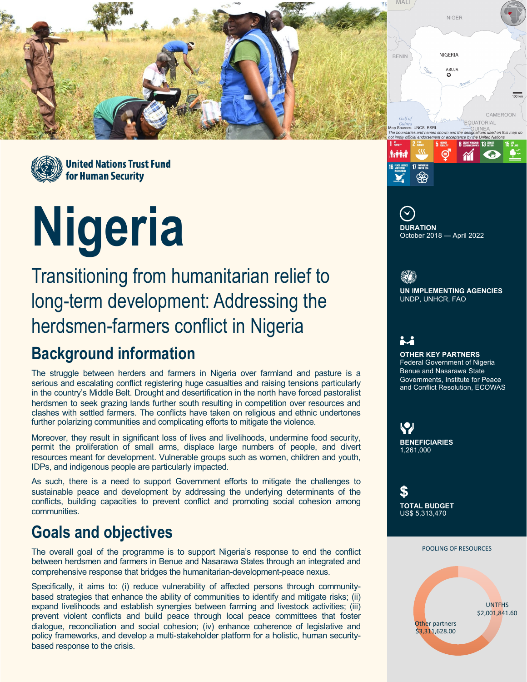



# **Nigeria**

Transitioning from humanitarian relief to long-term development: Addressing the herdsmen-farmers conflict in Nigeria

## **Background information**

The struggle between herders and farmers in Nigeria over farmland and pasture is a serious and escalating conflict registering huge casualties and raising tensions particularly in the country's Middle Belt. Drought and desertification in the north have forced pastoralist herdsmen to seek grazing lands further south resulting in competition over resources and clashes with settled farmers. The conflicts have taken on religious and ethnic undertones further polarizing communities and complicating efforts to mitigate the violence.

Moreover, they result in significant loss of lives and livelihoods, undermine food security, permit the proliferation of small arms, displace large numbers of people, and divert resources meant for development. Vulnerable groups such as women, children and youth, IDPs, and indigenous people are particularly impacted.

As such, there is a need to support Government efforts to mitigate the challenges to sustainable peace and development by addressing the underlying determinants of the conflicts, building capacities to prevent conflict and promoting social cohesion among communities.

#### **Goals and objectives**

The overall goal of the programme is to support Nigeria's response to end the conflict between herdsmen and farmers in Benue and Nasarawa States through an integrated and comprehensive response that bridges the humanitarian-development-peace nexus.

Specifically, it aims to: (i) reduce vulnerability of affected persons through communitybased strategies that enhance the ability of communities to identify and mitigate risks; (ii) expand livelihoods and establish synergies between farming and livestock activities; (iii) prevent violent conflicts and build peace through local peace committees that foster dialogue, reconciliation and social cohesion; (iv) enhance coherence of legislative and policy frameworks, and develop a multi-stakeholder platform for a holistic, human securitybased response to the crisis.



അ

<u>ij</u> **OTHER KEY PARTNERS** Federal Government of Nigeria Benue and Nasarawa State

**UN IMPLEMENTING AGENCIES**

UNDP, UNHCR, FAO

修新

and Conflict Resolution, ECOWAS

Governments, Institute for Peace

 $\heartsuit$ **BENEFICIARIES** 1,261,000

\$ **TOTAL BUDGET** US\$ 5,313,470